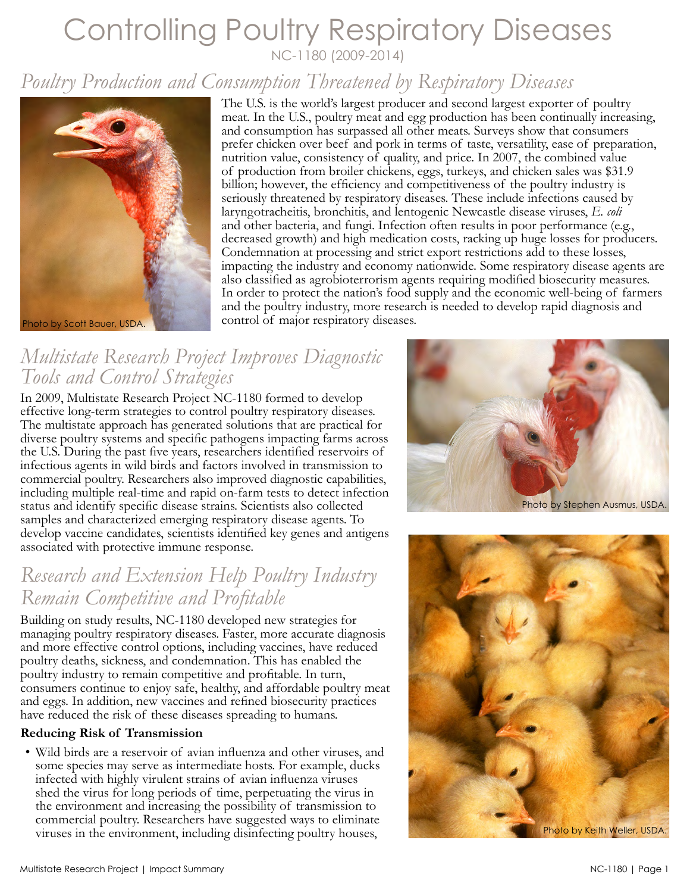## Controlling Poultry Respiratory Diseases NC-1180 (2009-2014)

# *Poultry Production and Consumption Threatened by Respiratory Diseases*



The U.S. is the world's largest producer and second largest exporter of poultry meat. In the U.S., poultry meat and egg production has been continually increasing, and consumption has surpassed all other meats. Surveys show that consumers prefer chicken over beef and pork in terms of taste, versatility, ease of preparation, nutrition value, consistency of quality, and price. In 2007, the combined value of production from broiler chickens, eggs, turkeys, and chicken sales was \$31.9 billion; however, the efficiency and competitiveness of the poultry industry is seriously threatened by respiratory diseases. These include infections caused by laryngotracheitis, bronchitis, and lentogenic Newcastle disease viruses, *E. coli*  and other bacteria, and fungi. Infection often results in poor performance (e.g., decreased growth) and high medication costs, racking up huge losses for producers. Condemnation at processing and strict export restrictions add to these losses, impacting the industry and economy nationwide. Some respiratory disease agents are also classified as agrobioterrorism agents requiring modified biosecurity measures. In order to protect the nation's food supply and the economic well-being of farmers and the poultry industry, more research is needed to develop rapid diagnosis and control of major respiratory diseases.

### *Multistate Research Project Improves Diagnostic Tools and Control Strategies*

In 2009, Multistate Research Project NC-1180 formed to develop effective long-term strategies to control poultry respiratory diseases. The multistate approach has generated solutions that are practical for diverse poultry systems and specific pathogens impacting farms across the U.S. During the past five years, researchers identified reservoirs of infectious agents in wild birds and factors involved in transmission to commercial poultry. Researchers also improved diagnostic capabilities, including multiple real-time and rapid on-farm tests to detect infection status and identify specific disease strains. Scientists also collected samples and characterized emerging respiratory disease agents. To develop vaccine candidates, scientists identified key genes and antigens associated with protective immune response.

### *Research and Extension Help Poultry Industry Remain Competitive and Profitable*

Building on study results, NC-1180 developed new strategies for managing poultry respiratory diseases. Faster, more accurate diagnosis and more effective control options, including vaccines, have reduced poultry deaths, sickness, and condemnation. This has enabled the poultry industry to remain competitive and profitable. In turn, consumers continue to enjoy safe, healthy, and affordable poultry meat and eggs. In addition, new vaccines and refined biosecurity practices have reduced the risk of these diseases spreading to humans.

### **Reducing Risk of Transmission**

• Wild birds are a reservoir of avian influenza and other viruses, and some species may serve as intermediate hosts. For example, ducks infected with highly virulent strains of avian influenza viruses shed the virus for long periods of time, perpetuating the virus in the environment and increasing the possibility of transmission to commercial poultry. Researchers have suggested ways to eliminate viruses in the environment, including disinfecting poultry houses,